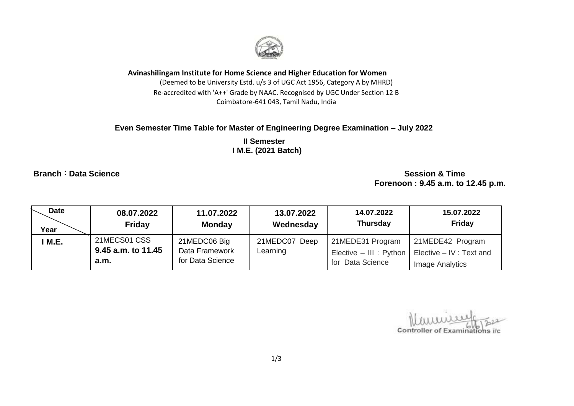

**Avinashilingam Institute for Home Science and Higher Education for Women**

(Deemed to be University Estd. u/s 3 of UGC Act 1956, Category A by MHRD) Re-accredited with 'A++' Grade by NAAC. Recognised by UGC Under Section 12 B Coimbatore-641 043, Tamil Nadu, India

## **Even Semester Time Table for Master of Engineering Degree Examination – July 2022**

 **II Semester I M.E. (2021 Batch)** 

**Branch :** Data Science Session & Time  **Forenoon : 9.45 a.m. to 12.45 p.m.**

| Date<br>Year | 08.07.2022<br><b>Friday</b> | 11.07.2022<br><b>Monday</b> | 13.07.2022<br>Wednesday | 14.07.2022<br><b>Thursday</b> | 15.07.2022<br>Friday     |
|--------------|-----------------------------|-----------------------------|-------------------------|-------------------------------|--------------------------|
| M.E.         | 21MECS01 CSS                | 21MEDC06 Big                | 21MEDC07 Deep           | 21MEDE31 Program              | 21MEDE42 Program         |
|              | 9.45 a.m. to 11.45          | Data Framework              | Learning                | Elective - III : Python       | Elective - IV : Text and |
|              | a.m.                        | for Data Science            |                         | for Data Science              | <b>Image Analytics</b>   |

Controller of Examinations i/c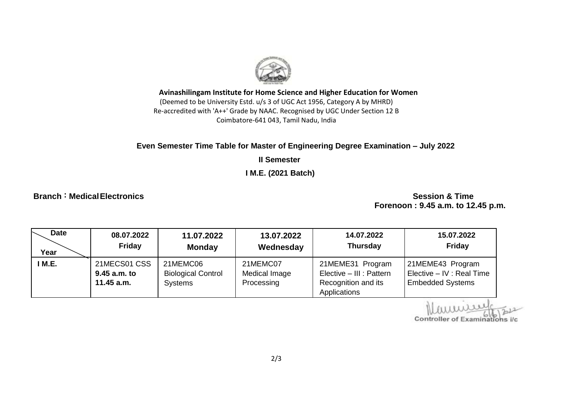

**Avinashilingam Institute for Home Science and Higher Education for Women** (Deemed to be University Estd. u/s 3 of UGC Act 1956, Category A by MHRD) Re-accredited with 'A++' Grade by NAAC. Recognised by UGC Under Section 12 B Coimbatore-641 043, Tamil Nadu, India

## **Even Semester Time Table for Master of Engineering Degree Examination – July 2022**

**II Semester** 

 **I M.E. (2021 Batch)** 

**Branch :** Medical Electronics Session & Time

 **Forenoon : 9.45 a.m. to 12.45 p.m.**

| <b>Date</b> | 08.07.2022                                   | 11.07.2022                                              | 13.07.2022                              | 14.07.2022                                                                          | 15.07.2022                                                               |
|-------------|----------------------------------------------|---------------------------------------------------------|-----------------------------------------|-------------------------------------------------------------------------------------|--------------------------------------------------------------------------|
| Year        | Friday                                       | <b>Monday</b>                                           | Wednesday                               | <b>Thursday</b>                                                                     | <b>Friday</b>                                                            |
| I M.E.      | 21MECS01 CSS<br>9.45 a.m. to<br>$11.45$ a.m. | 21MEMC06<br><b>Biological Control</b><br><b>Systems</b> | 21MEMC07<br>Medical Image<br>Processing | 21MEME31 Program<br>Elective - III : Pattern<br>Recognition and its<br>Applications | 21MEME43 Program<br>Elective - IV : Real Time<br><b>Embedded Systems</b> |

Controller of Examinations i/c